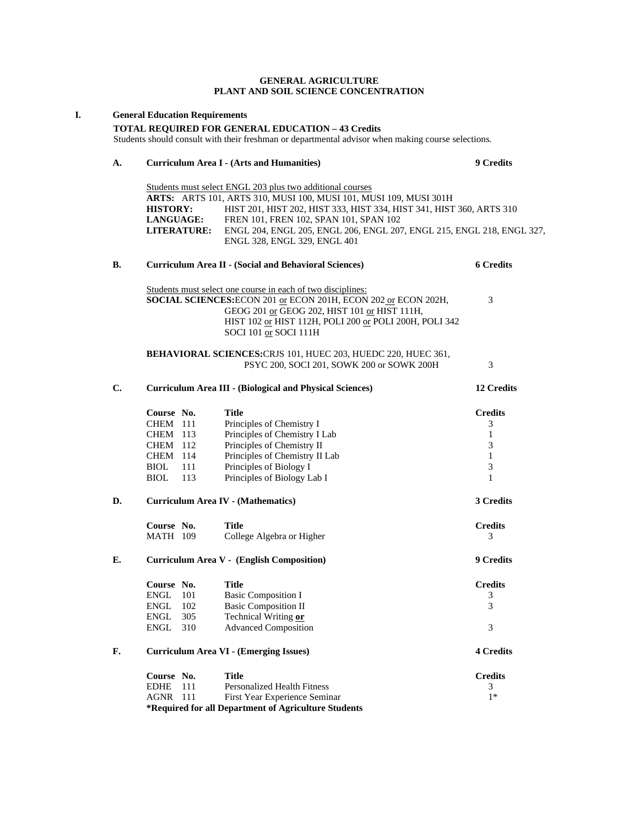## **GENERAL AGRICULTURE PLANT AND SOIL SCIENCE CONCENTRATION**

| I. |                                                                                                                                                                | <b>General Education Requirements</b>                                                                           |                          |                                                                                                                                                                                                                                                                                                                                                           |                                                         |  |  |
|----|----------------------------------------------------------------------------------------------------------------------------------------------------------------|-----------------------------------------------------------------------------------------------------------------|--------------------------|-----------------------------------------------------------------------------------------------------------------------------------------------------------------------------------------------------------------------------------------------------------------------------------------------------------------------------------------------------------|---------------------------------------------------------|--|--|
|    | <b>TOTAL REQUIRED FOR GENERAL EDUCATION - 43 Credits</b><br>Students should consult with their freshman or departmental advisor when making course selections. |                                                                                                                 |                          |                                                                                                                                                                                                                                                                                                                                                           |                                                         |  |  |
|    | A.                                                                                                                                                             |                                                                                                                 |                          | <b>Curriculum Area I - (Arts and Humanities)</b>                                                                                                                                                                                                                                                                                                          | 9 Credits                                               |  |  |
|    |                                                                                                                                                                | <b>HISTORY:</b><br>LANGUAGE:                                                                                    | <b>LITERATURE:</b>       | Students must select ENGL 203 plus two additional courses<br>ARTS: ARTS 101, ARTS 310, MUSI 100, MUSI 101, MUSI 109, MUSI 301H<br>HIST 201, HIST 202, HIST 333, HIST 334, HIST 341, HIST 360, ARTS 310<br>FREN 101, FREN 102, SPAN 101, SPAN 102<br>ENGL 204, ENGL 205, ENGL 206, ENGL 207, ENGL 215, ENGL 218, ENGL 327,<br>ENGL 328, ENGL 329, ENGL 401 |                                                         |  |  |
|    | В.                                                                                                                                                             |                                                                                                                 |                          | <b>Curriculum Area II - (Social and Behavioral Sciences)</b>                                                                                                                                                                                                                                                                                              | <b>6 Credits</b>                                        |  |  |
|    |                                                                                                                                                                |                                                                                                                 |                          | Students must select one course in each of two disciplines:<br>SOCIAL SCIENCES: ECON 201 or ECON 201H, ECON 202 or ECON 202H,<br>GEOG 201 or GEOG 202, HIST 101 or HIST 111H,<br>HIST 102 or HIST 112H, POLI 200 or POLI 200H, POLI 342<br>SOCI 101 or SOCI 111H                                                                                          | 3                                                       |  |  |
|    |                                                                                                                                                                | BEHAVIORAL SCIENCES: CRJS 101, HUEC 203, HUEDC 220, HUEC 361,<br>PSYC 200, SOCI 201, SOWK 200 or SOWK 200H<br>3 |                          |                                                                                                                                                                                                                                                                                                                                                           |                                                         |  |  |
|    | C.                                                                                                                                                             | <b>Curriculum Area III - (Biological and Physical Sciences)</b><br>12 Credits                                   |                          |                                                                                                                                                                                                                                                                                                                                                           |                                                         |  |  |
|    |                                                                                                                                                                | Course No.<br><b>CHEM</b> 111<br>CHEM 113<br><b>CHEM</b> 112<br>CHEM 114<br><b>BIOL</b><br><b>BIOL</b>          | 111<br>113               | <b>Title</b><br>Principles of Chemistry I<br>Principles of Chemistry I Lab<br>Principles of Chemistry II<br>Principles of Chemistry II Lab<br>Principles of Biology I<br>Principles of Biology Lab I                                                                                                                                                      | <b>Credits</b><br>3<br>1<br>3<br>$\mathbf{1}$<br>3<br>1 |  |  |
|    | D.                                                                                                                                                             | 3 Credits<br><b>Curriculum Area IV - (Mathematics)</b>                                                          |                          |                                                                                                                                                                                                                                                                                                                                                           |                                                         |  |  |
|    |                                                                                                                                                                | Course No.<br><b>MATH 109</b>                                                                                   |                          | <b>Title</b><br>College Algebra or Higher                                                                                                                                                                                                                                                                                                                 | <b>Credits</b><br>3                                     |  |  |
|    | Е.                                                                                                                                                             | 9 Credits<br><b>Curriculum Area V - (English Composition)</b>                                                   |                          |                                                                                                                                                                                                                                                                                                                                                           |                                                         |  |  |
|    |                                                                                                                                                                | Course No.<br><b>ENGL</b><br><b>ENGL</b><br>${\rm ENGL}$<br><b>ENGL</b>                                         | 101<br>102<br>305<br>310 | <b>Title</b><br><b>Basic Composition I</b><br><b>Basic Composition II</b><br>Technical Writing or<br><b>Advanced Composition</b>                                                                                                                                                                                                                          | <b>Credits</b><br>3<br>3<br>3                           |  |  |
|    | F.                                                                                                                                                             | <b>Curriculum Area VI - (Emerging Issues)</b>                                                                   |                          |                                                                                                                                                                                                                                                                                                                                                           | <b>4 Credits</b>                                        |  |  |
|    |                                                                                                                                                                | Course No.<br><b>EDHE</b><br>AGNR                                                                               | 111<br>-111              | <b>Title</b><br>Personalized Health Fitness<br>First Year Experience Seminar<br>*Required for all Department of Agriculture Students                                                                                                                                                                                                                      | <b>Credits</b><br>3<br>$1*$                             |  |  |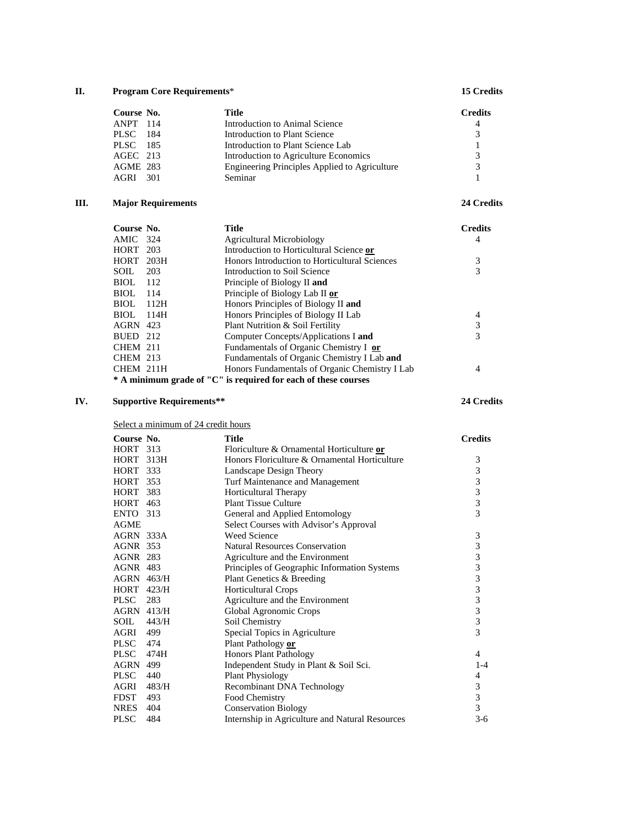## **II. Program Core Requirements**\* **15 Credits**

|        | Title                                                                      | <b>Credits</b> |
|--------|----------------------------------------------------------------------------|----------------|
|        | Introduction to Animal Science                                             | $\overline{4}$ |
| PLSC – | Introduction to Plant Science                                              | $\mathcal{R}$  |
|        | Introduction to Plant Science Lab                                          |                |
|        | Introduction to Agriculture Economics                                      | 3              |
|        | Engineering Principles Applied to Agriculture                              | $\mathcal{R}$  |
| AGRI   | Seminar                                                                    |                |
|        | Course No.<br>ANPT 114<br>- 184<br>PLSC 185<br>AGEC 213<br>AGME 283<br>301 |                |

# **III. Major Requirements 24 Credits**

| Course No.      |      | <b>Title</b>                                                   | <b>Credits</b> |
|-----------------|------|----------------------------------------------------------------|----------------|
| AMIC 324        |      | Agricultural Microbiology                                      | 4              |
| <b>HORT</b> 203 |      | Introduction to Horticultural Science or                       |                |
| HORT 203H       |      | Honors Introduction to Horticultural Sciences                  |                |
| SOIL            | 203  | Introduction to Soil Science                                   |                |
| BIOL.           | 112  | Principle of Biology II and                                    |                |
| BIOL            | 114  | Principle of Biology Lab II or                                 |                |
| <b>BIOL</b>     | 112H | Honors Principles of Biology II and                            |                |
| BIOL.           | 114H | Honors Principles of Biology II Lab                            | 4              |
| <b>AGRN</b> 423 |      | Plant Nutrition & Soil Fertility                               |                |
| BUED 212        |      | Computer Concepts/Applications I and                           | 3              |
| <b>CHEM 211</b> |      | Fundamentals of Organic Chemistry I or                         |                |
| <b>CHEM 213</b> |      | Fundamentals of Organic Chemistry I Lab and                    |                |
| CHEM 211H       |      | Honors Fundamentals of Organic Chemistry I Lab                 |                |
|                 |      | * A minimum grade of "C" is required for each of these courses |                |

# **IV. Supportive Requirements\*\* 24 Credits**

Select a minimum of 24 credit hours

| Course No.        |       | Title                                           | <b>Credits</b>                             |
|-------------------|-------|-------------------------------------------------|--------------------------------------------|
| <b>HORT</b> 313   |       | Floriculture & Ornamental Horticulture or       |                                            |
| HORT 313H         |       | Honors Floriculture & Ornamental Horticulture   | 3                                          |
| <b>HORT</b> 333   |       | Landscape Design Theory                         | 3                                          |
| <b>HORT</b> 353   |       | Turf Maintenance and Management                 | $\begin{array}{c} 3 \\ 3 \\ 3 \end{array}$ |
| <b>HORT 383</b>   |       | Horticultural Therapy                           |                                            |
| <b>HORT</b> 463   |       | <b>Plant Tissue Culture</b>                     |                                            |
| <b>ENTO</b> 313   |       | General and Applied Entomology                  | $\overline{3}$                             |
| <b>AGME</b>       |       | Select Courses with Advisor's Approval          |                                            |
| AGRN 333A         |       | <b>Weed Science</b>                             | $\mathfrak{Z}$                             |
| AGNR 353          |       | <b>Natural Resources Conservation</b>           |                                            |
| <b>AGNR 283</b>   |       | Agriculture and the Environment                 |                                            |
| <b>AGNR 483</b>   |       | Principles of Geographic Information Systems    | 3333333                                    |
| <b>AGRN</b> 463/H |       | Plant Genetics & Breeding                       |                                            |
| <b>HORT 423/H</b> |       | Horticultural Crops                             |                                            |
| PLSC 283          |       | Agriculture and the Environment                 |                                            |
| <b>AGRN 413/H</b> |       | Global Agronomic Crops                          |                                            |
| SOIL              | 443/H | Soil Chemistry                                  | $\overline{\mathbf{3}}$                    |
| AGRI 499          |       | Special Topics in Agriculture                   | $\overline{3}$                             |
| <b>PLSC</b>       | 474   | Plant Pathology or                              |                                            |
| <b>PLSC</b>       | 474H  | <b>Honors Plant Pathology</b>                   | 4                                          |
| <b>AGRN 499</b>   |       | Independent Study in Plant & Soil Sci.          | $1-4$                                      |
| <b>PLSC</b>       | 440   | <b>Plant Physiology</b>                         | 4                                          |
| AGRI              | 483/H | Recombinant DNA Technology                      | $\frac{3}{3}$                              |
| <b>FDST</b>       | 493   | Food Chemistry                                  |                                            |
| <b>NRES</b>       | 404   | <b>Conservation Biology</b>                     | $\overline{3}$                             |
| <b>PLSC</b>       | 484   | Internship in Agriculture and Natural Resources | $3-6$                                      |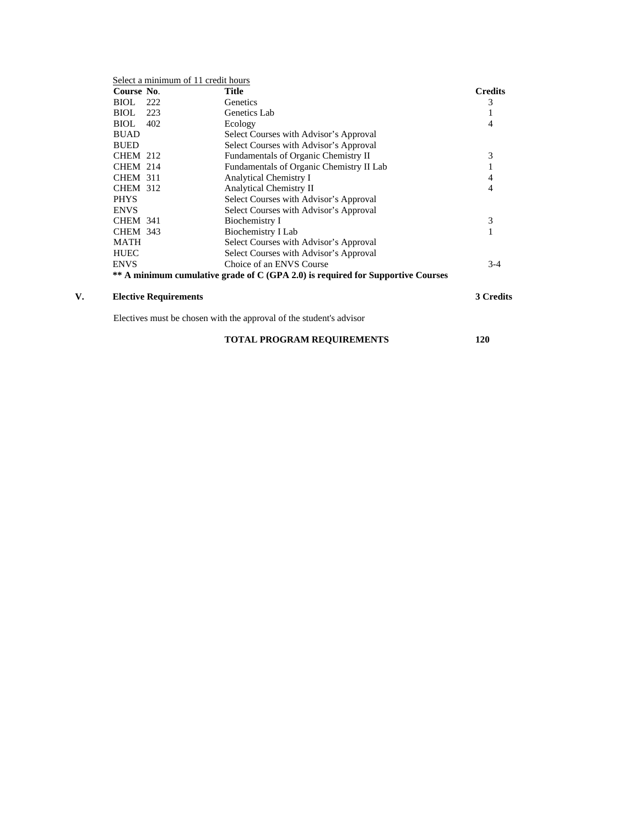| Course No.                   | <b>Title</b>                                                                    | <b>Credits</b> |
|------------------------------|---------------------------------------------------------------------------------|----------------|
| BIOL<br>222                  | Genetics                                                                        | 3              |
| BIOL<br>223                  | Genetics Lab                                                                    |                |
| BIOL 402                     | Ecology                                                                         | 4              |
| <b>BUAD</b>                  | Select Courses with Advisor's Approval                                          |                |
| <b>BUED</b>                  | Select Courses with Advisor's Approval                                          |                |
| <b>CHEM 212</b>              | Fundamentals of Organic Chemistry II                                            | 3              |
| <b>CHEM 214</b>              | Fundamentals of Organic Chemistry II Lab                                        |                |
| <b>CHEM 311</b>              | Analytical Chemistry I                                                          | 4              |
| <b>CHEM 312</b>              | <b>Analytical Chemistry II</b>                                                  | 4              |
| <b>PHYS</b>                  | Select Courses with Advisor's Approval                                          |                |
| <b>ENVS</b>                  | Select Courses with Advisor's Approval                                          |                |
| <b>CHEM 341</b>              | Biochemistry I                                                                  | 3              |
| <b>CHEM 343</b>              | Biochemistry I Lab                                                              |                |
| <b>MATH</b>                  | Select Courses with Advisor's Approval                                          |                |
| <b>HUEC</b>                  | Select Courses with Advisor's Approval                                          |                |
| <b>ENVS</b>                  | Choice of an ENVS Course                                                        | $3-4$          |
|                              | ** A minimum cumulative grade of C (GPA 2.0) is required for Supportive Courses |                |
| <b>Elective Requirements</b> |                                                                                 | 3 Credits      |

**TOTAL PROGRAM REQUIREMENTS** 120